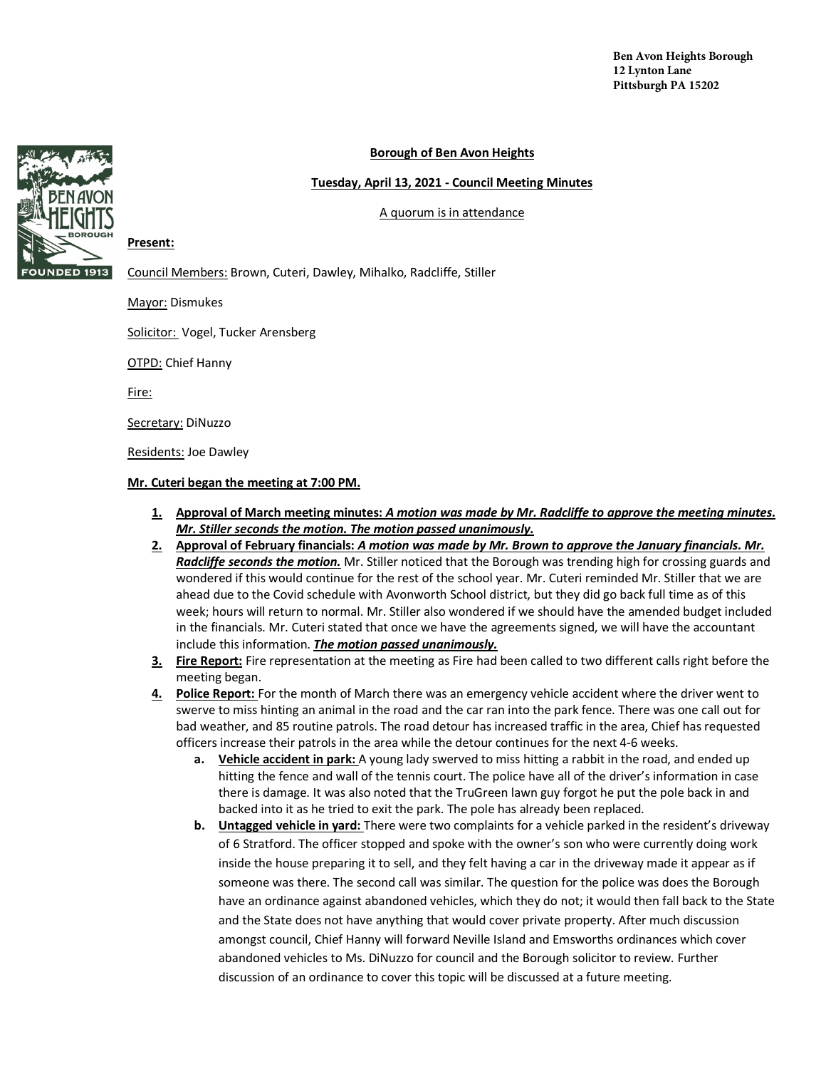## **Borough of Ben Avon Heights**

### **Tuesday, April 13, 2021 - Council Meeting Minutes**

### A quorum is in attendance

**Present:** 

Council Members: Brown, Cuteri, Dawley, Mihalko, Radcliffe, Stiller

Mayor: Dismukes

Solicitor: Vogel, Tucker Arensberg

OTPD: Chief Hanny

Fire:

Secretary: DiNuzzo

Residents: Joe Dawley

#### **Mr. Cuteri began the meeting at 7:00 PM.**

- **1. Approval of March meeting minutes:** *A motion was made by Mr. Radcliffe to approve the meeting minutes. Mr. Stiller seconds the motion. The motion passed unanimously.*
- **2. Approval of February financials:** *A motion was made by Mr. Brown to approve the January financials. Mr. Radcliffe seconds the motion.* Mr. Stiller noticed that the Borough was trending high for crossing guards and wondered if this would continue for the rest of the school year. Mr. Cuteri reminded Mr. Stiller that we are ahead due to the Covid schedule with Avonworth School district, but they did go back full time as of this week; hours will return to normal. Mr. Stiller also wondered if we should have the amended budget included in the financials. Mr. Cuteri stated that once we have the agreements signed, we will have the accountant include this information. *The motion passed unanimously.*
- **3. Fire Report:** Fire representation at the meeting as Fire had been called to two different calls right before the meeting began.
- **4. Police Report:** For the month of March there was an emergency vehicle accident where the driver went to swerve to miss hinting an animal in the road and the car ran into the park fence. There was one call out for bad weather, and 85 routine patrols. The road detour has increased traffic in the area, Chief has requested officers increase their patrols in the area while the detour continues for the next 4-6 weeks.
	- **a. Vehicle accident in park:** A young lady swerved to miss hitting a rabbit in the road, and ended up hitting the fence and wall of the tennis court. The police have all of the driver's information in case there is damage. It was also noted that the TruGreen lawn guy forgot he put the pole back in and backed into it as he tried to exit the park. The pole has already been replaced.
	- **b. Untagged vehicle in yard:** There were two complaints for a vehicle parked in the resident's driveway of 6 Stratford. The officer stopped and spoke with the owner's son who were currently doing work inside the house preparing it to sell, and they felt having a car in the driveway made it appear as if someone was there. The second call was similar. The question for the police was does the Borough have an ordinance against abandoned vehicles, which they do not; it would then fall back to the State and the State does not have anything that would cover private property. After much discussion amongst council, Chief Hanny will forward Neville Island and Emsworths ordinances which cover abandoned vehicles to Ms. DiNuzzo for council and the Borough solicitor to review. Further discussion of an ordinance to cover this topic will be discussed at a future meeting.

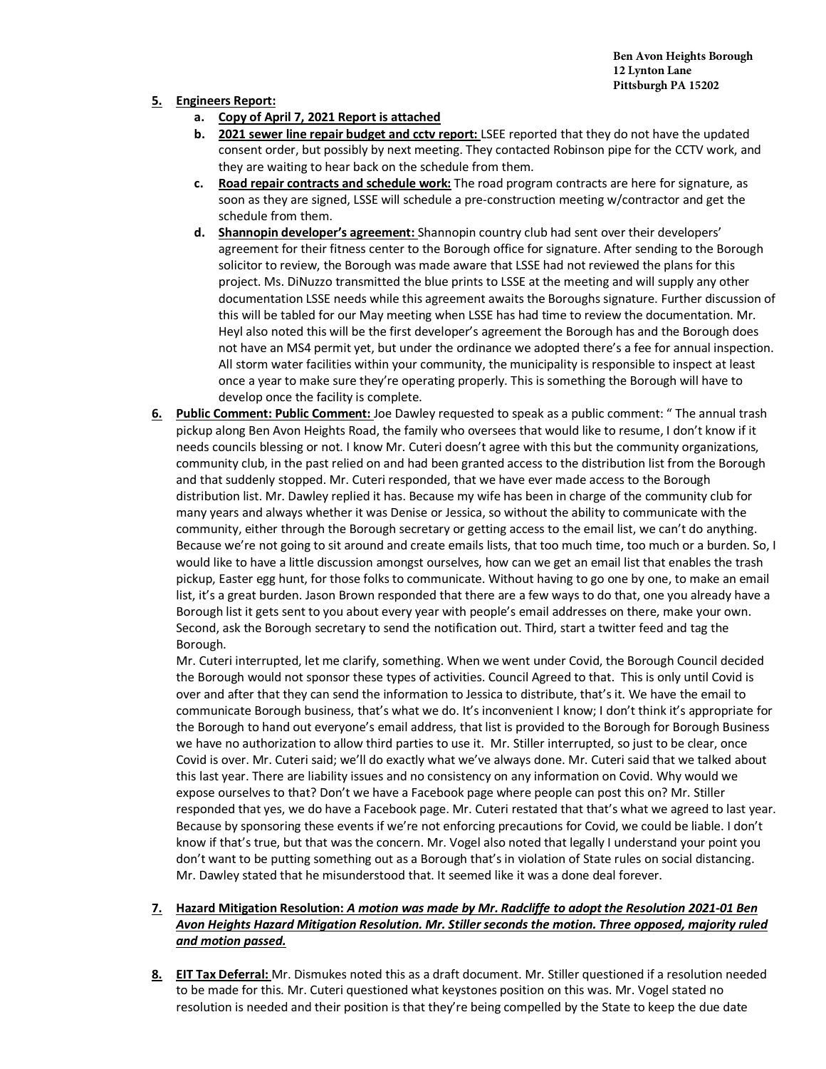**Ben Avon Heights Borough 12 Lynton Lane Pittsburgh PA 15202**

## **5. Engineers Report:**

- **a. Copy of April 7, 2021 Report is attached**
- **b. 2021 sewer line repair budget and cctv report:** LSEE reported that they do not have the updated consent order, but possibly by next meeting. They contacted Robinson pipe for the CCTV work, and they are waiting to hear back on the schedule from them.
- **c. Road repair contracts and schedule work:** The road program contracts are here for signature, as soon as they are signed, LSSE will schedule a pre-construction meeting w/contractor and get the schedule from them.
- **d. Shannopin developer's agreement:** Shannopin country club had sent over their developers' agreement for their fitness center to the Borough office for signature. After sending to the Borough solicitor to review, the Borough was made aware that LSSE had not reviewed the plans for this project. Ms. DiNuzzo transmitted the blue prints to LSSE at the meeting and will supply any other documentation LSSE needs while this agreement awaits the Boroughs signature. Further discussion of this will be tabled for our May meeting when LSSE has had time to review the documentation. Mr. Heyl also noted this will be the first developer's agreement the Borough has and the Borough does not have an MS4 permit yet, but under the ordinance we adopted there's a fee for annual inspection. All storm water facilities within your community, the municipality is responsible to inspect at least once a year to make sure they're operating properly. This is something the Borough will have to develop once the facility is complete.
- **6. Public Comment: Public Comment:** Joe Dawley requested to speak as a public comment: " The annual trash pickup along Ben Avon Heights Road, the family who oversees that would like to resume, I don't know if it needs councils blessing or not. I know Mr. Cuteri doesn't agree with this but the community organizations, community club, in the past relied on and had been granted access to the distribution list from the Borough and that suddenly stopped. Mr. Cuteri responded, that we have ever made access to the Borough distribution list. Mr. Dawley replied it has. Because my wife has been in charge of the community club for many years and always whether it was Denise or Jessica, so without the ability to communicate with the community, either through the Borough secretary or getting access to the email list, we can't do anything. Because we're not going to sit around and create emails lists, that too much time, too much or a burden. So, I would like to have a little discussion amongst ourselves, how can we get an email list that enables the trash pickup, Easter egg hunt, for those folks to communicate. Without having to go one by one, to make an email list, it's a great burden. Jason Brown responded that there are a few ways to do that, one you already have a Borough list it gets sent to you about every year with people's email addresses on there, make your own. Second, ask the Borough secretary to send the notification out. Third, start a twitter feed and tag the Borough.

Mr. Cuteri interrupted, let me clarify, something. When we went under Covid, the Borough Council decided the Borough would not sponsor these types of activities. Council Agreed to that. This is only until Covid is over and after that they can send the information to Jessica to distribute, that's it. We have the email to communicate Borough business, that's what we do. It's inconvenient I know; I don't think it's appropriate for the Borough to hand out everyone's email address, that list is provided to the Borough for Borough Business we have no authorization to allow third parties to use it. Mr. Stiller interrupted, so just to be clear, once Covid is over. Mr. Cuteri said; we'll do exactly what we've always done. Mr. Cuteri said that we talked about this last year. There are liability issues and no consistency on any information on Covid. Why would we expose ourselves to that? Don't we have a Facebook page where people can post this on? Mr. Stiller responded that yes, we do have a Facebook page. Mr. Cuteri restated that that's what we agreed to last year. Because by sponsoring these events if we're not enforcing precautions for Covid, we could be liable. I don't know if that's true, but that was the concern. Mr. Vogel also noted that legally I understand your point you don't want to be putting something out as a Borough that's in violation of State rules on social distancing. Mr. Dawley stated that he misunderstood that. It seemed like it was a done deal forever.

# **7. Hazard Mitigation Resolution:** *A motion was made by Mr. Radcliffe to adopt the Resolution 2021-01 Ben Avon Heights Hazard Mitigation Resolution. Mr. Stiller seconds the motion. Three opposed, majority ruled and motion passed.*

**8. EIT Tax Deferral:** Mr. Dismukes noted this as a draft document. Mr. Stiller questioned if a resolution needed to be made for this. Mr. Cuteri questioned what keystones position on this was. Mr. Vogel stated no resolution is needed and their position is that they're being compelled by the State to keep the due date